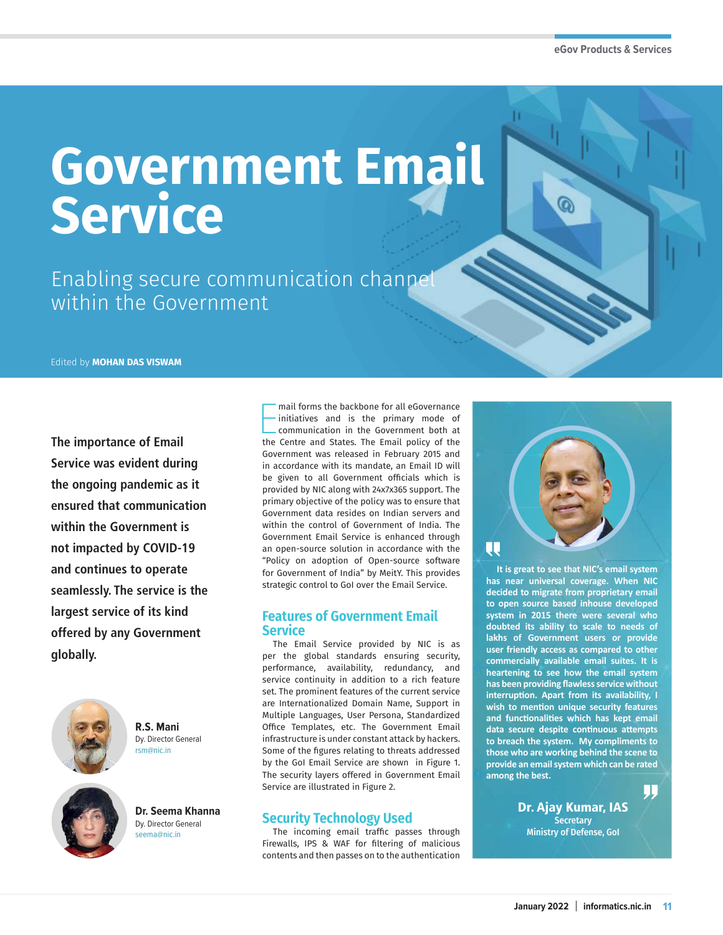## **Government Email Service**

Enabling secure communication channel within the Government

Edited by **MOHAN DAS VISWAM**

**The importance of Email Service was evident during the ongoing pandemic as it ensured that communication within the Government is not impacted by COVID-19 and continues to operate seamlessly. The service is the largest service of its kind offered by any Government globally.**



**R.S. Mani** Dy. Director General rsm@nic.in

**Dr. Seema Khanna** Dy. Director General seema@nic.in

mail forms the backbone for all eGovernance<br>initiatives and is the primary mode of<br>communication in the Government both at<br>the Centre and States. The Email policy of the mail forms the backbone for all eGovernance initiatives and is the primary mode of communication in the Government both at Government was released in February 2015 and in accordance with its mandate, an Email ID will be given to all Government officials which is provided by NIC along with 24x7x365 support. The primary objective of the policy was to ensure that Government data resides on Indian servers and within the control of Government of India. The Government Email Service is enhanced through an open-source solution in accordance with the "Policy on adoption of Open-source software for Government of India" by MeitY. This provides strategic control to GoI over the Email Service.

## **Features of Government Email Service**

The Email Service provided by NIC is as per the global standards ensuring security, performance, availability, redundancy, and service continuity in addition to a rich feature set. The prominent features of the current service are Internationalized Domain Name, Support in Multiple Languages, User Persona, Standardized Office Templates, etc. The Government Email infrastructure is under constant attack by hackers. Some of the figures relating to threats addressed by the GoI Email Service are shown in Figure 1. The security layers offered in Government Email Service are illustrated in Figure 2.

## **Security Technology Used**

The incoming email traffic passes through Firewalls, IPS & WAF for filtering of malicious contents and then passes on to the authentication



**It is great to see that NIC's email system has near universal coverage. When NIC decided to migrate from proprietary email to open source based inhouse developed system in 2015 there were several who doubted its ability to scale to needs of lakhs of Government users or provide user friendly access as compared to other commercially available email suites. It is heartening to see how the email system has been providing flawless service without interruption. Apart from its availability, I wish to mention unique security features and functionalities which has kept email data secure despite continuous attempts to breach the system. My compliments to those who are working behind the scene to provide an email system which can be rated among the best.**

> Dr. Ajay Kumar, IAS **Secretary** Ministry of Defense, GoI

IJ